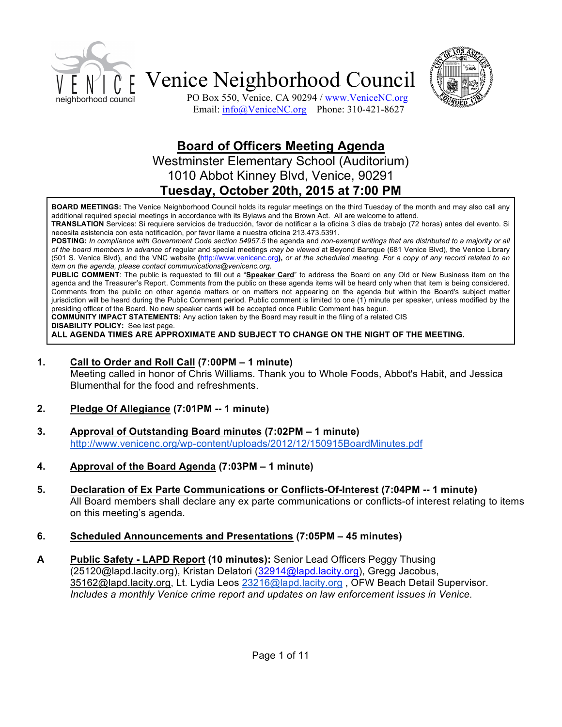



PO Box 550, Venice, CA 90294 / www.VeniceNC.org Email: info@VeniceNC.org Phone: 310-421-8627

# **Board of Officers Meeting Agenda**

Westminster Elementary School (Auditorium) 1010 Abbot Kinney Blvd, Venice, 90291 **Tuesday, October 20th, 2015 at 7:00 PM**

**BOARD MEETINGS:** The Venice Neighborhood Council holds its regular meetings on the third Tuesday of the month and may also call any additional required special meetings in accordance with its Bylaws and the Brown Act. All are welcome to attend.

**TRANSLATION** Services: Si requiere servicios de traducción, favor de notificar a la oficina 3 días de trabajo (72 horas) antes del evento. Si necesita asistencia con esta notificación, por favor llame a nuestra oficina 213.473.5391.

**POSTING:** *In compliance with Government Code section 54957.5* the agenda and *non-exempt writings that are distributed to a majority or all of the board members in advance of* regular and special meetings *may be viewed* at Beyond Baroque (681 Venice Blvd), the Venice Library (501 S. Venice Blvd), and the VNC website **(**http://www.venicenc.org**),** *or at the scheduled meeting. For a copy of any record related to an item on the agenda, please contact communications@venicenc.org.*

**PUBLIC COMMENT**: The public is requested to fill out a "**Speaker Card**" to address the Board on any Old or New Business item on the agenda and the Treasurer's Report. Comments from the public on these agenda items will be heard only when that item is being considered. Comments from the public on other agenda matters or on matters not appearing on the agenda but within the Board's subject matter jurisdiction will be heard during the Public Comment period. Public comment is limited to one (1) minute per speaker, unless modified by the presiding officer of the Board. No new speaker cards will be accepted once Public Comment has begun.

**COMMUNITY IMPACT STATEMENTS:** Any action taken by the Board may result in the filing of a related CIS

**DISABILITY POLICY:** See last page.

**ALL AGENDA TIMES ARE APPROXIMATE AND SUBJECT TO CHANGE ON THE NIGHT OF THE MEETING.**

#### **1. Call to Order and Roll Call (7:00PM – 1 minute)**

Meeting called in honor of Chris Williams. Thank you to Whole Foods, Abbot's Habit, and Jessica Blumenthal for the food and refreshments.

- **2. Pledge Of Allegiance (7:01PM -- 1 minute)**
- **3. Approval of Outstanding Board minutes (7:02PM – 1 minute)** http://www.venicenc.org/wp-content/uploads/2012/12/150915BoardMinutes.pdf
- **4. Approval of the Board Agenda (7:03PM – 1 minute)**
- **5. Declaration of Ex Parte Communications or Conflicts-Of-Interest (7:04PM -- 1 minute)**  All Board members shall declare any ex parte communications or conflicts-of interest relating to items on this meeting's agenda.

### **6. Scheduled Announcements and Presentations (7:05PM – 45 minutes)**

**A Public Safety - LAPD Report (10 minutes):** Senior Lead Officers Peggy Thusing (25120@lapd.lacity.org), Kristan Delatori (32914@lapd.lacity.org), Gregg Jacobus, 35162@lapd.lacity.org, Lt. Lydia Leos 23216@lapd.lacity.org, OFW Beach Detail Supervisor. *Includes a monthly Venice crime report and updates on law enforcement issues in Venice.*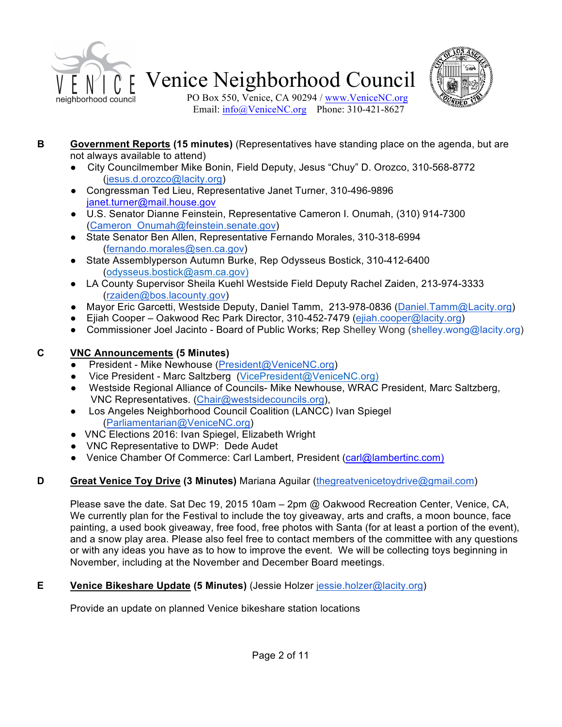



PO Box 550, Venice, CA 90294 / www.VeniceNC.org Email:  $info@$ VeniceNC.org Phone: 310-421-8627

- **B Government Reports (15 minutes)** (Representatives have standing place on the agenda, but are not always available to attend)
	- City Councilmember Mike Bonin, Field Deputy, Jesus "Chuy" D. Orozco, 310-568-8772 (jesus.d.orozco@lacity.org)
	- Congressman Ted Lieu, Representative Janet Turner, 310-496-9896 janet.turner@mail.house.gov
	- U.S. Senator Dianne Feinstein, Representative Cameron I. Onumah, (310) 914-7300 (Cameron\_Onumah@feinstein.senate.gov)
	- State Senator Ben Allen, Representative Fernando Morales, 310-318-6994 (fernando.morales@sen.ca.gov)
	- State Assemblyperson Autumn Burke, Rep Odysseus Bostick, 310-412-6400 (odysseus.bostick@asm.ca.gov)
	- LA County Supervisor Sheila Kuehl Westside Field Deputy Rachel Zaiden, 213-974-3333 (rzaiden@bos.lacounty.gov)
	- Mayor Eric Garcetti, Westside Deputy, Daniel Tamm, 213-978-0836 (Daniel.Tamm@Lacity.org)
	- Ejiah Cooper Oakwood Rec Park Director, 310-452-7479 (ejiah.cooper@lacity.org)
	- Commissioner Joel Jacinto Board of Public Works; Rep Shelley Wong (shelley.wong@lacity.org)

## **C VNC Announcements (5 Minutes)**

- President Mike Newhouse (President@VeniceNC.org)
- Vice President Marc Saltzberg (VicePresident@VeniceNC.org)
- Westside Regional Alliance of Councils- Mike Newhouse, WRAC President, Marc Saltzberg, VNC Representatives. (Chair@westsidecouncils.org),
- Los Angeles Neighborhood Council Coalition (LANCC) Ivan Spiegel (Parliamentarian@VeniceNC.org)
- VNC Elections 2016: Ivan Spiegel, Elizabeth Wright
- VNC Representative to DWP: Dede Audet
- Venice Chamber Of Commerce: Carl Lambert, President (carl@lambertinc.com)

# **D Great Venice Toy Drive (3 Minutes)** Mariana Aguilar (thegreatvenicetoydrive@gmail.com)

Please save the date. Sat Dec 19, 2015 10am – 2pm @ Oakwood Recreation Center, Venice, CA, We currently plan for the Festival to include the toy giveaway, arts and crafts, a moon bounce, face painting, a used book giveaway, free food, free photos with Santa (for at least a portion of the event), and a snow play area. Please also feel free to contact members of the committee with any questions or with any ideas you have as to how to improve the event. We will be collecting toys beginning in November, including at the November and December Board meetings.

# **E Venice Bikeshare Update (5 Minutes)** (Jessie Holzer jessie.holzer@lacity.org)

Provide an update on planned Venice bikeshare station locations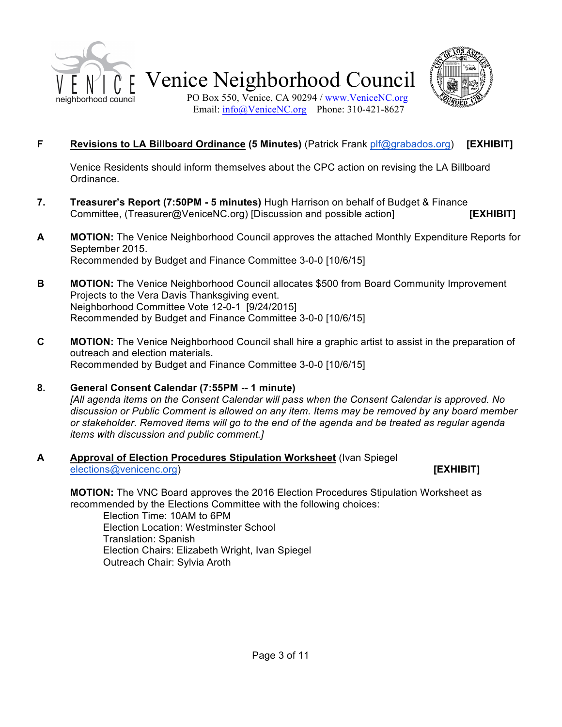



## **F Revisions to LA Billboard Ordinance (5 Minutes)** (Patrick Frank plf@grabados.org) **[EXHIBIT]**

Venice Residents should inform themselves about the CPC action on revising the LA Billboard Ordinance.

- **7. Treasurer's Report (7:50PM - 5 minutes)** Hugh Harrison on behalf of Budget & Finance Committee, (Treasurer@VeniceNC.org) [Discussion and possible action] **[EXHIBIT]**
- **A MOTION:** The Venice Neighborhood Council approves the attached Monthly Expenditure Reports for September 2015. Recommended by Budget and Finance Committee 3-0-0 [10/6/15]
- **B MOTION:** The Venice Neighborhood Council allocates \$500 from Board Community Improvement Projects to the Vera Davis Thanksgiving event. Neighborhood Committee Vote 12-0-1 [9/24/2015] Recommended by Budget and Finance Committee 3-0-0 [10/6/15]
- **C MOTION:** The Venice Neighborhood Council shall hire a graphic artist to assist in the preparation of outreach and election materials. Recommended by Budget and Finance Committee 3-0-0 [10/6/15]

#### **8. General Consent Calendar (7:55PM -- 1 minute)** *[All agenda items on the Consent Calendar will pass when the Consent Calendar is approved. No discussion or Public Comment is allowed on any item. Items may be removed by any board member or stakeholder. Removed items will go to the end of the agenda and be treated as regular agenda items with discussion and public comment.]*

### **A Approval of Election Procedures Stipulation Worksheet** (Ivan Spiegel elections@venicenc.org) **[EXHIBIT] [EXHIBIT]**

**MOTION:** The VNC Board approves the 2016 Election Procedures Stipulation Worksheet as recommended by the Elections Committee with the following choices:

Election Time: 10AM to 6PM Election Location: Westminster School Translation: Spanish Election Chairs: Elizabeth Wright, Ivan Spiegel Outreach Chair: Sylvia Aroth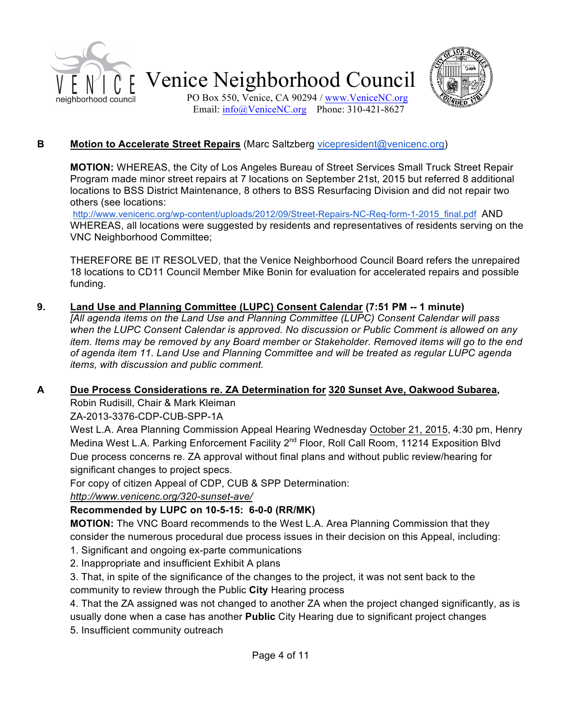



PO Box 550, Venice, CA 90294 / www.VeniceNC.org Email:  $info@$ VeniceNC.org Phone: 310-421-8627

## **B Motion to Accelerate Street Repairs** (Marc Saltzberg vicepresident@venicenc.org)

**MOTION:** WHEREAS, the City of Los Angeles Bureau of Street Services Small Truck Street Repair Program made minor street repairs at 7 locations on September 21st, 2015 but referred 8 additional locations to BSS District Maintenance, 8 others to BSS Resurfacing Division and did not repair two others (see locations:

http://www.venicenc.org/wp-content/uploads/2012/09/Street-Repairs-NC-Req-form-1-2015\_final.pdf AND WHEREAS, all locations were suggested by residents and representatives of residents serving on the VNC Neighborhood Committee;

THEREFORE BE IT RESOLVED, that the Venice Neighborhood Council Board refers the unrepaired 18 locations to CD11 Council Member Mike Bonin for evaluation for accelerated repairs and possible funding.

## **9. Land Use and Planning Committee (LUPC) Consent Calendar (7:51 PM -- 1 minute)**

*[All agenda items on the Land Use and Planning Committee (LUPC) Consent Calendar will pass when the LUPC Consent Calendar is approved. No discussion or Public Comment is allowed on any item. Items may be removed by any Board member or Stakeholder. Removed items will go to the end of agenda item 11. Land Use and Planning Committee and will be treated as regular LUPC agenda items, with discussion and public comment.*

## **A Due Process Considerations re. ZA Determination for 320 Sunset Ave, Oakwood Subarea,**

Robin Rudisill, Chair & Mark Kleiman

ZA-2013-3376-CDP-CUB-SPP-1A

West L.A. Area Planning Commission Appeal Hearing Wednesday October 21, 2015, 4:30 pm, Henry Medina West L.A. Parking Enforcement Facility 2<sup>nd</sup> Floor, Roll Call Room, 11214 Exposition Blvd Due process concerns re. ZA approval without final plans and without public review/hearing for significant changes to project specs.

For copy of citizen Appeal of CDP, CUB & SPP Determination:

*http://www.venicenc.org/320-sunset-ave/*

## **Recommended by LUPC on 10-5-15: 6-0-0 (RR/MK)**

**MOTION:** The VNC Board recommends to the West L.A. Area Planning Commission that they consider the numerous procedural due process issues in their decision on this Appeal, including:

1. Significant and ongoing ex-parte communications

2. Inappropriate and insufficient Exhibit A plans

3. That, in spite of the significance of the changes to the project, it was not sent back to the community to review through the Public **City** Hearing process

4. That the ZA assigned was not changed to another ZA when the project changed significantly, as is

usually done when a case has another **Public** City Hearing due to significant project changes

5. Insufficient community outreach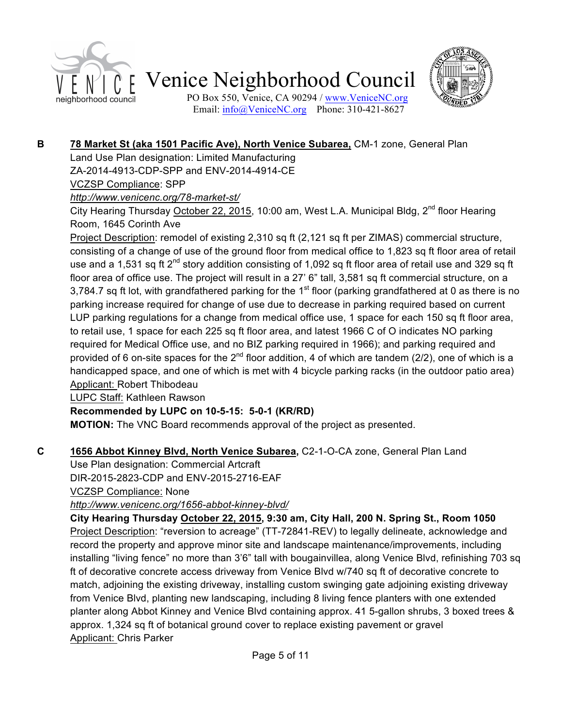



PO Box 550, Venice, CA 90294 / www.VeniceNC.org Email:  $info@$ VeniceNC.org Phone: 310-421-8627

## **B 78 Market St (aka 1501 Pacific Ave), North Venice Subarea,** CM-1 zone, General Plan

Land Use Plan designation: Limited Manufacturing

ZA-2014-4913-CDP-SPP and ENV-2014-4914-CE

VCZSP Compliance: SPP

# *http://www.venicenc.org/78-market-st/*

City Hearing Thursday October 22, 2015, 10:00 am, West L.A. Municipal Bldg, 2<sup>nd</sup> floor Hearing Room, 1645 Corinth Ave

Project Description: remodel of existing 2,310 sq ft (2,121 sq ft per ZIMAS) commercial structure, consisting of a change of use of the ground floor from medical office to 1,823 sq ft floor area of retail use and a 1,531 sq ft 2<sup>nd</sup> story addition consisting of 1,092 sq ft floor area of retail use and 329 sq ft floor area of office use. The project will result in a 27' 6" tall, 3,581 sq ft commercial structure, on a 3,784.7 sq ft lot, with grandfathered parking for the 1<sup>st</sup> floor (parking grandfathered at 0 as there is no parking increase required for change of use due to decrease in parking required based on current LUP parking regulations for a change from medical office use, 1 space for each 150 sq ft floor area, to retail use, 1 space for each 225 sq ft floor area, and latest 1966 C of O indicates NO parking required for Medical Office use, and no BIZ parking required in 1966); and parking required and provided of 6 on-site spaces for the  $2^{nd}$  floor addition, 4 of which are tandem (2/2), one of which is a handicapped space, and one of which is met with 4 bicycle parking racks (in the outdoor patio area) Applicant: Robert Thibodeau

LUPC Staff: Kathleen Rawson

# **Recommended by LUPC on 10-5-15: 5-0-1 (KR/RD)**

**MOTION:** The VNC Board recommends approval of the project as presented.

# **C 1656 Abbot Kinney Blvd, North Venice Subarea,** C2-1-O-CA zone, General Plan Land

Use Plan designation: Commercial Artcraft DIR-2015-2823-CDP and ENV-2015-2716-EAF

VCZSP Compliance: None

*http://www.venicenc.org/1656-abbot-kinney-blvd/*

**City Hearing Thursday October 22, 2015, 9:30 am, City Hall, 200 N. Spring St., Room 1050** Project Description: "reversion to acreage" (TT-72841-REV) to legally delineate, acknowledge and record the property and approve minor site and landscape maintenance/improvements, including installing "living fence" no more than 3'6" tall with bougainvillea, along Venice Blvd, refinishing 703 sq ft of decorative concrete access driveway from Venice Blvd w/740 sq ft of decorative concrete to match, adjoining the existing driveway, installing custom swinging gate adjoining existing driveway from Venice Blvd, planting new landscaping, including 8 living fence planters with one extended planter along Abbot Kinney and Venice Blvd containing approx. 41 5-gallon shrubs, 3 boxed trees & approx. 1,324 sq ft of botanical ground cover to replace existing pavement or gravel Applicant: Chris Parker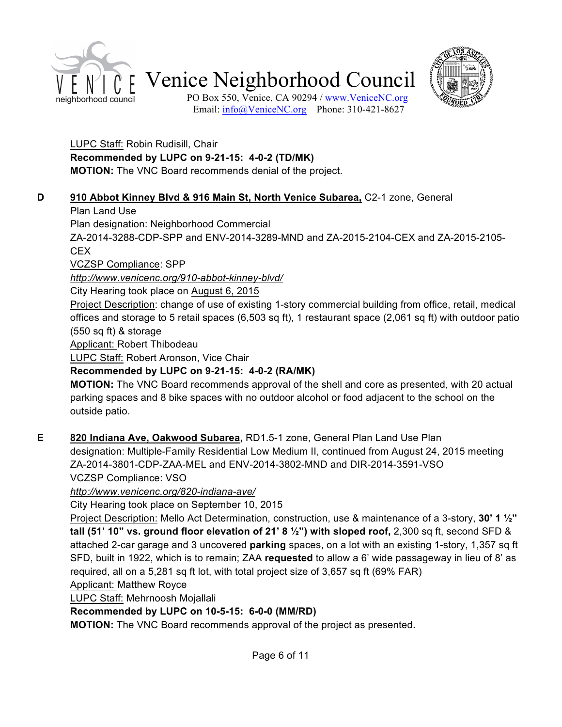



PO Box 550, Venice, CA 90294 / www.VeniceNC.org Email:  $info@$ VeniceNC.org Phone: 310-421-8627

### LUPC Staff: Robin Rudisill, Chair **Recommended by LUPC on 9-21-15: 4-0-2 (TD/MK) MOTION:** The VNC Board recommends denial of the project.

## **D 910 Abbot Kinney Blvd & 916 Main St, North Venice Subarea,** C2-1 zone, General

## Plan Land Use

Plan designation: Neighborhood Commercial

ZA-2014-3288-CDP-SPP and ENV-2014-3289-MND and ZA-2015-2104-CEX and ZA-2015-2105- CEX

VCZSP Compliance: SPP

*http://www.venicenc.org/910-abbot-kinney-blvd/*

City Hearing took place on August 6, 2015

Project Description: change of use of existing 1-story commercial building from office, retail, medical offices and storage to 5 retail spaces (6,503 sq ft), 1 restaurant space (2,061 sq ft) with outdoor patio (550 sq ft) & storage

Applicant: Robert Thibodeau

LUPC Staff: Robert Aronson, Vice Chair

# **Recommended by LUPC on 9-21-15: 4-0-2 (RA/MK)**

**MOTION:** The VNC Board recommends approval of the shell and core as presented, with 20 actual parking spaces and 8 bike spaces with no outdoor alcohol or food adjacent to the school on the outside patio.

**E 820 Indiana Ave, Oakwood Subarea,** RD1.5-1 zone, General Plan Land Use Plan designation: Multiple-Family Residential Low Medium II, continued from August 24, 2015 meeting ZA-2014-3801-CDP-ZAA-MEL and ENV-2014-3802-MND and DIR-2014-3591-VSO VCZSP Compliance: VSO

*http://www.venicenc.org/820-indiana-ave/*

City Hearing took place on September 10, 2015

Project Description: Mello Act Determination, construction, use & maintenance of a 3-story, **30' 1 ½" tall (51' 10" vs. ground floor elevation of 21' 8 ½") with sloped roof,** 2,300 sq ft, second SFD & attached 2-car garage and 3 uncovered **parking** spaces, on a lot with an existing 1-story, 1,357 sq ft SFD, built in 1922, which is to remain; ZAA **requested** to allow a 6' wide passageway in lieu of 8' as required, all on a 5,281 sq ft lot, with total project size of 3,657 sq ft (69% FAR)

Applicant: Matthew Royce

LUPC Staff: Mehrnoosh Mojallali

# **Recommended by LUPC on 10-5-15: 6-0-0 (MM/RD)**

**MOTION:** The VNC Board recommends approval of the project as presented.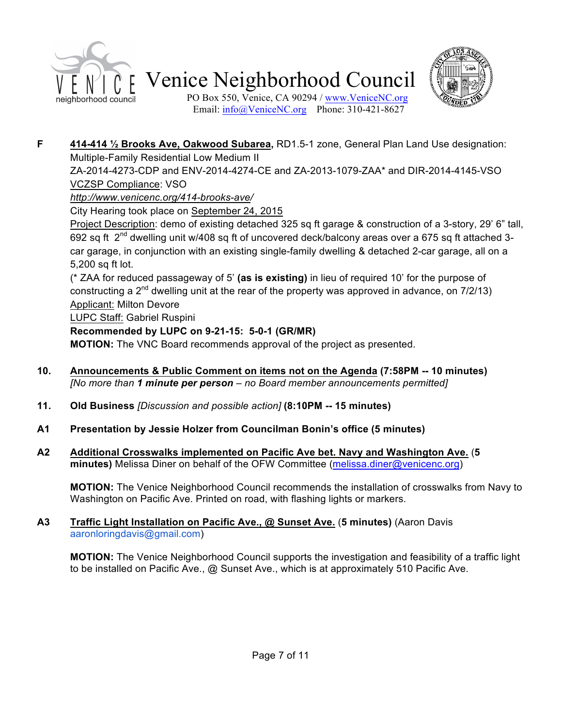



PO Box 550, Venice, CA 90294 / www.VeniceNC.org Email:  $info@$ VeniceNC.org Phone: 310-421-8627

**F 414-414 ½ Brooks Ave, Oakwood Subarea,** RD1.5-1 zone, General Plan Land Use designation: Multiple-Family Residential Low Medium II

ZA-2014-4273-CDP and ENV-2014-4274-CE and ZA-2013-1079-ZAA\* and DIR-2014-4145-VSO VCZSP Compliance: VSO

## *http://www.venicenc.org/414-brooks-ave/*

City Hearing took place on September 24, 2015

Project Description: demo of existing detached 325 sq ft garage & construction of a 3-story, 29' 6" tall, 692 sq ft 2nd dwelling unit w/408 sq ft of uncovered deck/balcony areas over a 675 sq ft attached 3 car garage, in conjunction with an existing single-family dwelling & detached 2-car garage, all on a 5,200 sq ft lot.

(\* ZAA for reduced passageway of 5' **(as is existing)** in lieu of required 10' for the purpose of constructing a  $2^{nd}$  dwelling unit at the rear of the property was approved in advance, on  $7/2/13$ ) Applicant: Milton Devore

LUPC Staff: Gabriel Ruspini

## **Recommended by LUPC on 9-21-15: 5-0-1 (GR/MR)**

**MOTION:** The VNC Board recommends approval of the project as presented.

- **10. Announcements & Public Comment on items not on the Agenda (7:58PM -- 10 minutes)** *[No more than 1 minute per person – no Board member announcements permitted]*
- **11. Old Business** *[Discussion and possible action]* **(8:10PM -- 15 minutes)**
- **A1 Presentation by Jessie Holzer from Councilman Bonin's office (5 minutes)**
- **A2 Additional Crosswalks implemented on Pacific Ave bet. Navy and Washington Ave.** (**5 minutes)** Melissa Diner on behalf of the OFW Committee (melissa.diner@venicenc.org)

**MOTION:** The Venice Neighborhood Council recommends the installation of crosswalks from Navy to Washington on Pacific Ave. Printed on road, with flashing lights or markers.

### **A3 Traffic Light Installation on Pacific Ave., @ Sunset Ave.** (**5 minutes)** (Aaron Davis aaronloringdavis@gmail.com)

**MOTION:** The Venice Neighborhood Council supports the investigation and feasibility of a traffic light to be installed on Pacific Ave., @ Sunset Ave., which is at approximately 510 Pacific Ave.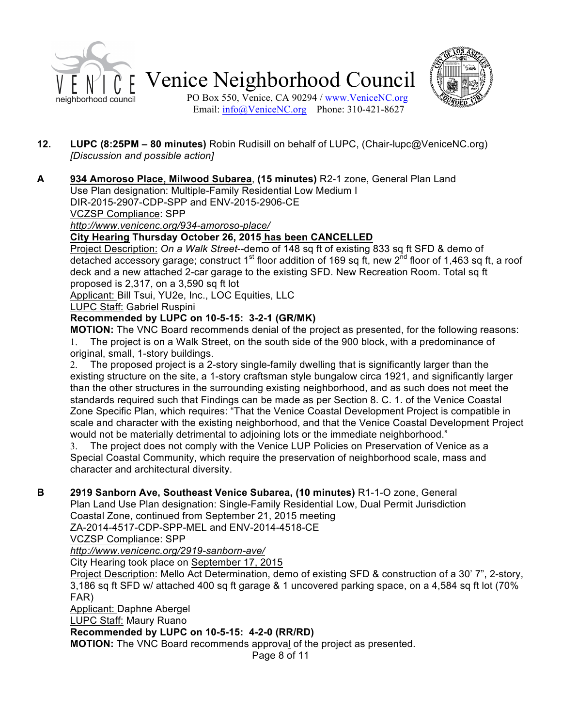



**A 934 Amoroso Place, Milwood Subarea**, **(15 minutes)** R2-1 zone, General Plan Land

Use Plan designation: Multiple-Family Residential Low Medium I

DIR-2015-2907-CDP-SPP and ENV-2015-2906-CE

VCZSP Compliance: SPP

*http://www.venicenc.org/934-amoroso-place/*

### **City Hearing Thursday October 26, 2015 has been CANCELLED**

Project Description: *On a Walk Street*--demo of 148 sq ft of existing 833 sq ft SFD & demo of detached accessory garage; construct 1<sup>st</sup> floor addition of 169 sq ft, new 2<sup>nd</sup> floor of 1,463 sq ft, a roof deck and a new attached 2-car garage to the existing SFD. New Recreation Room. Total sq ft proposed is 2,317, on a 3,590 sq ft lot

Applicant: Bill Tsui, YU2e, Inc., LOC Equities, LLC

LUPC Staff: Gabriel Ruspini

### **Recommended by LUPC on 10-5-15: 3-2-1 (GR/MK)**

**MOTION:** The VNC Board recommends denial of the project as presented, for the following reasons: 1. The project is on a Walk Street, on the south side of the 900 block, with a predominance of original, small, 1-story buildings.

2. The proposed project is a 2-story single-family dwelling that is significantly larger than the existing structure on the site, a 1-story craftsman style bungalow circa 1921, and significantly larger than the other structures in the surrounding existing neighborhood, and as such does not meet the standards required such that Findings can be made as per Section 8. C. 1. of the Venice Coastal Zone Specific Plan, which requires: "That the Venice Coastal Development Project is compatible in scale and character with the existing neighborhood, and that the Venice Coastal Development Project would not be materially detrimental to adjoining lots or the immediate neighborhood."

3. The project does not comply with the Venice LUP Policies on Preservation of Venice as a Special Coastal Community, which require the preservation of neighborhood scale, mass and character and architectural diversity.

### **B 2919 Sanborn Ave, Southeast Venice Subarea, (10 minutes)** R1-1-O zone, General

Plan Land Use Plan designation: Single-Family Residential Low, Dual Permit Jurisdiction Coastal Zone, continued from September 21, 2015 meeting

ZA-2014-4517-CDP-SPP-MEL and ENV-2014-4518-CE

VCZSP Compliance: SPP

*http://www.venicenc.org/2919-sanborn-ave/*

City Hearing took place on September 17, 2015

Project Description: Mello Act Determination, demo of existing SFD & construction of a 30' 7", 2-story, 3,186 sq ft SFD w/ attached 400 sq ft garage & 1 uncovered parking space, on a 4,584 sq ft lot (70% FAR)

Applicant: Daphne Abergel

LUPC Staff: Maury Ruano

### **Recommended by LUPC on 10-5-15: 4-2-0 (RR/RD)**

**MOTION:** The VNC Board recommends approval of the project as presented.

Page 8 of 11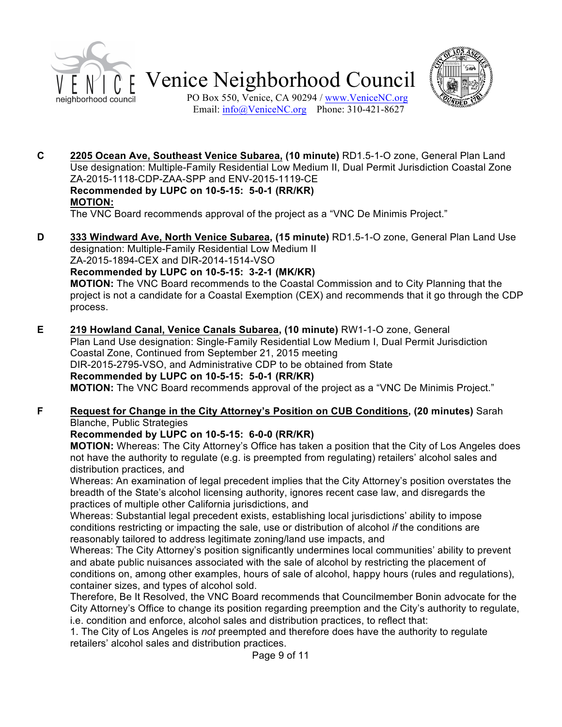



PO Box 550, Venice, CA 90294 / www.VeniceNC.org Email:  $info@V$ eniceNC.org Phone: 310-421-8627

**C 2205 Ocean Ave, Southeast Venice Subarea, (10 minute)** RD1.5-1-O zone, General Plan Land Use designation: Multiple-Family Residential Low Medium II, Dual Permit Jurisdiction Coastal Zone ZA-2015-1118-CDP-ZAA-SPP and ENV-2015-1119-CE **Recommended by LUPC on 10-5-15: 5-0-1 (RR/KR) MOTION:**

The VNC Board recommends approval of the project as a "VNC De Minimis Project."

**D 333 Windward Ave, North Venice Subarea, (15 minute)** RD1.5-1-O zone, General Plan Land Use designation: Multiple-Family Residential Low Medium II

ZA-2015-1894-CEX and DIR-2014-1514-VSO

**Recommended by LUPC on 10-5-15: 3-2-1 (MK/KR) MOTION:** The VNC Board recommends to the Coastal Commission and to City Planning that the project is not a candidate for a Coastal Exemption (CEX) and recommends that it go through the CDP process.

**E 219 Howland Canal, Venice Canals Subarea, (10 minute)** RW1-1-O zone, General Plan Land Use designation: Single-Family Residential Low Medium I, Dual Permit Jurisdiction Coastal Zone, Continued from September 21, 2015 meeting DIR-2015-2795-VSO, and Administrative CDP to be obtained from State **Recommended by LUPC on 10-5-15: 5-0-1 (RR/KR) MOTION:** The VNC Board recommends approval of the project as a "VNC De Minimis Project."

### **F Request for Change in the City Attorney's Position on CUB Conditions, (20 minutes)** Sarah Blanche, Public Strategies

## **Recommended by LUPC on 10-5-15: 6-0-0 (RR/KR)**

**MOTION:** Whereas: The City Attorney's Office has taken a position that the City of Los Angeles does not have the authority to regulate (e.g. is preempted from regulating) retailers' alcohol sales and distribution practices, and

Whereas: An examination of legal precedent implies that the City Attorney's position overstates the breadth of the State's alcohol licensing authority, ignores recent case law, and disregards the practices of multiple other California jurisdictions, and

Whereas: Substantial legal precedent exists, establishing local jurisdictions' ability to impose conditions restricting or impacting the sale, use or distribution of alcohol *if* the conditions are reasonably tailored to address legitimate zoning/land use impacts, and

Whereas: The City Attorney's position significantly undermines local communities' ability to prevent and abate public nuisances associated with the sale of alcohol by restricting the placement of conditions on, among other examples, hours of sale of alcohol, happy hours (rules and regulations), container sizes, and types of alcohol sold.

Therefore, Be It Resolved, the VNC Board recommends that Councilmember Bonin advocate for the City Attorney's Office to change its position regarding preemption and the City's authority to regulate, i.e. condition and enforce, alcohol sales and distribution practices, to reflect that:

1. The City of Los Angeles is *not* preempted and therefore does have the authority to regulate retailers' alcohol sales and distribution practices.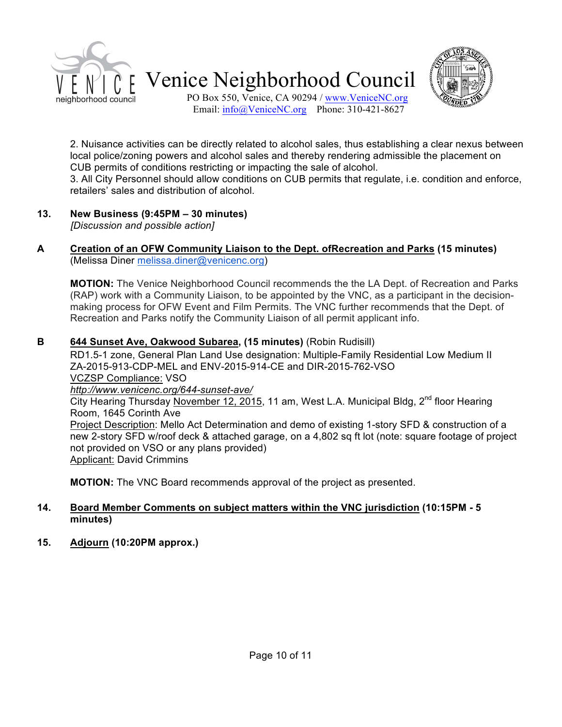



PO Box 550, Venice, CA 90294 / www.VeniceNC.org Email:  $info@V$ eniceNC.org Phone: 310-421-8627

2. Nuisance activities can be directly related to alcohol sales, thus establishing a clear nexus between local police/zoning powers and alcohol sales and thereby rendering admissible the placement on CUB permits of conditions restricting or impacting the sale of alcohol.

3. All City Personnel should allow conditions on CUB permits that regulate, i.e. condition and enforce, retailers' sales and distribution of alcohol.

## **13. New Business (9:45PM – 30 minutes)**

*[Discussion and possible action]*

#### **A Creation of an OFW Community Liaison to the Dept. ofRecreation and Parks (15 minutes)**  (Melissa Diner melissa.diner@venicenc.org)

**MOTION:** The Venice Neighborhood Council recommends the the LA Dept. of Recreation and Parks (RAP) work with a Community Liaison, to be appointed by the VNC, as a participant in the decisionmaking process for OFW Event and Film Permits. The VNC further recommends that the Dept. of Recreation and Parks notify the Community Liaison of all permit applicant info.

## **B 644 Sunset Ave, Oakwood Subarea, (15 minutes)** (Robin Rudisill)

RD1.5-1 zone, General Plan Land Use designation: Multiple-Family Residential Low Medium II ZA-2015-913-CDP-MEL and ENV-2015-914-CE and DIR-2015-762-VSO VCZSP Compliance: VSO *http://www.venicenc.org/644-sunset-ave/* City Hearing Thursday November 12, 2015, 11 am, West L.A. Municipal Bldg,  $2^{nd}$  floor Hearing Room, 1645 Corinth Ave Project Description: Mello Act Determination and demo of existing 1-story SFD & construction of a new 2-story SFD w/roof deck & attached garage, on a 4,802 sq ft lot (note: square footage of project not provided on VSO or any plans provided) Applicant: David Crimmins

**MOTION:** The VNC Board recommends approval of the project as presented.

### **14. Board Member Comments on subject matters within the VNC jurisdiction (10:15PM - 5 minutes)**

## **15. Adjourn (10:20PM approx.)**